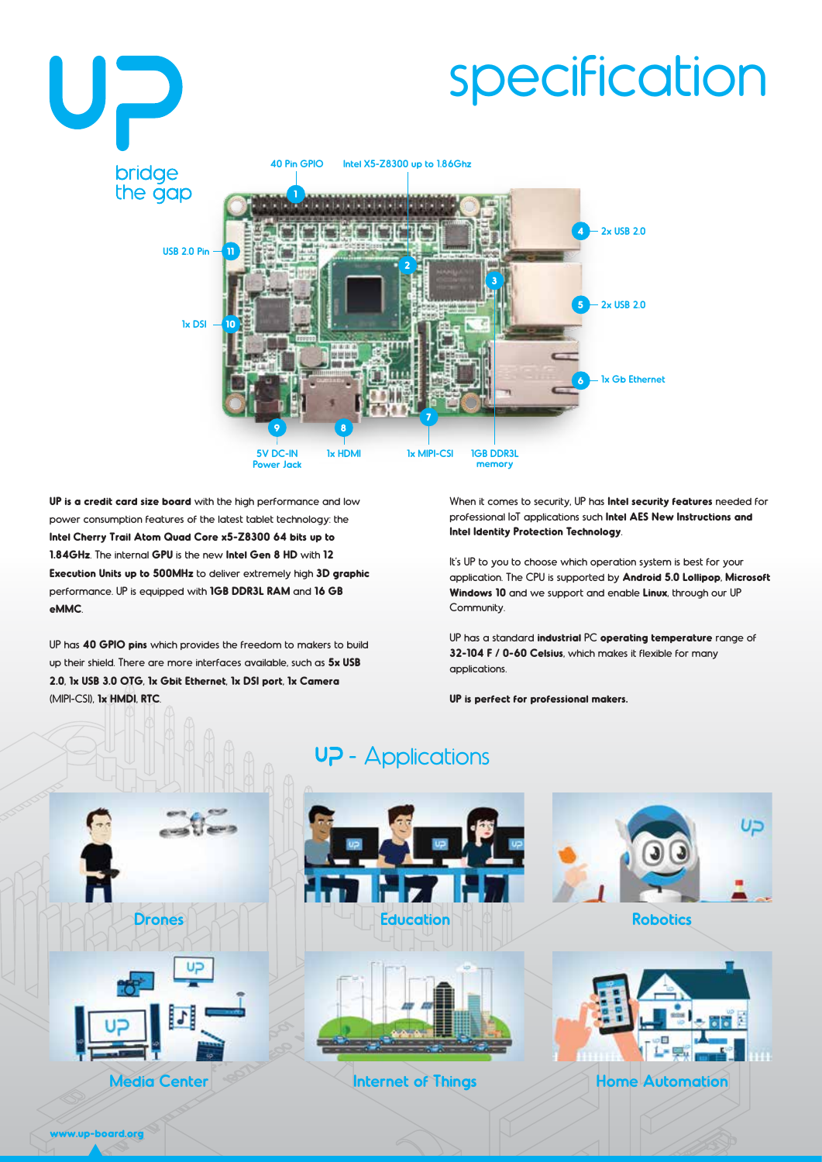

**UP is a credit card size board** with the high performance and low power consumption features of the latest tablet technology: the **Intel Cherry Trail Atom Quad Core x5-Z8300 64 bits up to 1.84GHz**. The internal **GPU** is the new **Intel Gen 8 HD** with **12 Execution Units up to 500MHz** to deliver extremely high **3D graphic** performance. UP is equipped with **1GB DDR3L RAM** and **16 GB eMMC**.

UP has **40 GPIO pins** which provides the freedom to makers to build up their shield. There are more interfaces available, such as **5x USB 2.0**, **1x USB 3.0 OTG**, **1x Gbit Ethernet**, **1x DSI port**, **1x Camera** (MIPI-CSI), **1x HMDI**, **RTC**.

When it comes to security, UP has **Intel security features** needed for professional IoT applications such **Intel AES New Instructions and Intel Identity Protection Technology**.

It's UP to you to choose which operation system is best for your application. The CPU is supported by **Android 5.0 Lollipop**, **Microsoft Windows 10** and we support and enable **Linux**, through our UP Community.

UP has a standard **industrial** PC **operating temperature** range of **32-104 F / 0-60 Celsius**, which makes it flexible for many applications.

**UP is perfect for professional makers.**

## UP - Applications